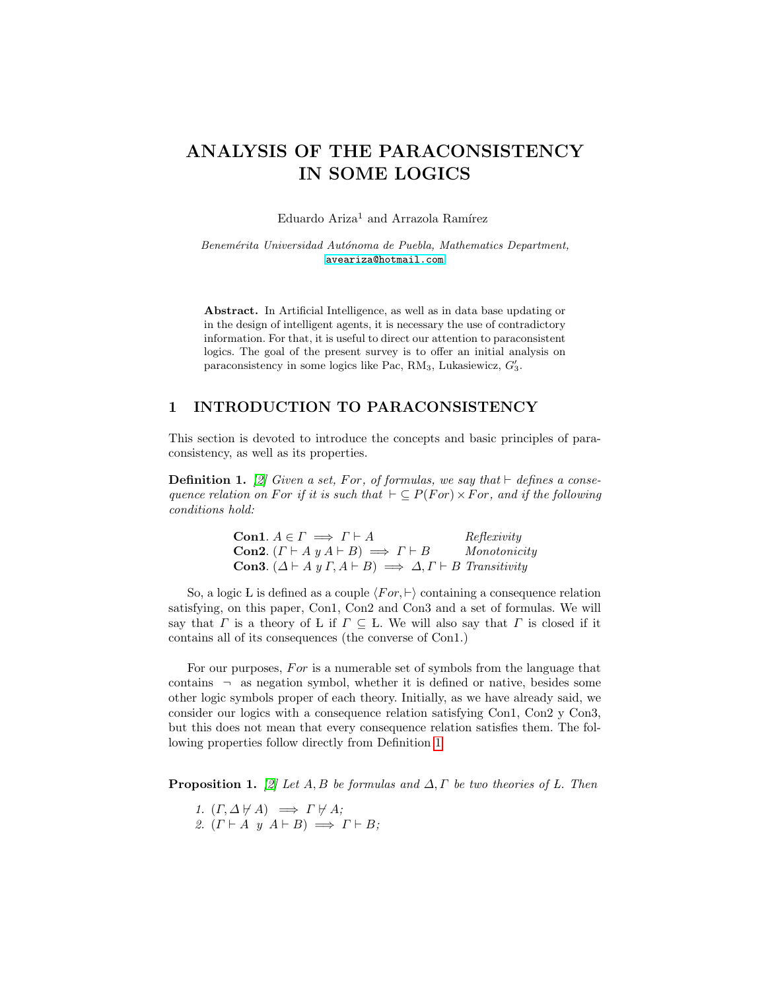# ANALYSIS OF THE PARACONSISTENCY IN SOME LOGICS

Eduardo Ariza<sup>1</sup> and Arrazola Ramírez

Benemérita Universidad Autónoma de Puebla, Mathematics Department, <aveariza@hotmail.com>

Abstract. In Artificial Intelligence, as well as in data base updating or in the design of intelligent agents, it is necessary the use of contradictory information. For that, it is useful to direct our attention to paraconsistent logics. The goal of the present survey is to offer an initial analysis on paraconsistency in some logics like Pac,  $RM_3$ , Lukasiewicz,  $G'_3$ .

## 1 INTRODUCTION TO PARACONSISTENCY

This section is devoted to introduce the concepts and basic principles of paraconsistency, as well as its properties.

<span id="page-0-0"></span>**Definition 1.** [\[2\]](#page-10-0) Given a set, For, of formulas, we say that  $\vdash$  defines a consequence relation on For if it is such that  $\vdash \subseteq P(For) \times For$ , and if the following conditions hold:

> **Con1.**  $A \in \Gamma \implies \Gamma \vdash A$  Reflexivity **Con2.**  $(\Gamma \vdash A \ y \ A \vdash B) \implies \Gamma \vdash B$  Monotonicity Con3.  $(\Delta \vdash A \, y \, \Gamma, A \vdash B) \implies \Delta, \Gamma \vdash B$  Transitivity

So, a logic L is defined as a couple  $\langle For, \vdash \rangle$  containing a consequence relation satisfying, on this paper, Con1, Con2 and Con3 and a set of formulas. We will say that  $\Gamma$  is a theory of L if  $\Gamma \subseteq L$ . We will also say that  $\Gamma$  is closed if it contains all of its consequences (the converse of Con1.)

For our purposes, For is a numerable set of symbols from the language that contains  $\lnot$  as negation symbol, whether it is defined or native, besides some other logic symbols proper of each theory. Initially, as we have already said, we consider our logics with a consequence relation satisfying Con1, Con2 y Con3, but this does not mean that every consequence relation satisfies them. The following properties follow directly from Definition [1](#page-0-0)

**Proposition 1.** [\[2\]](#page-10-0) Let A, B be formulas and  $\Delta$ ,  $\Gamma$  be two theories of L. Then

- 1.  $(\Gamma, \Delta \not\vdash A) \implies \Gamma \not\vdash A;$
- 2.  $(\Gamma \vdash A \ y \ A \vdash B) \implies \Gamma \vdash B;$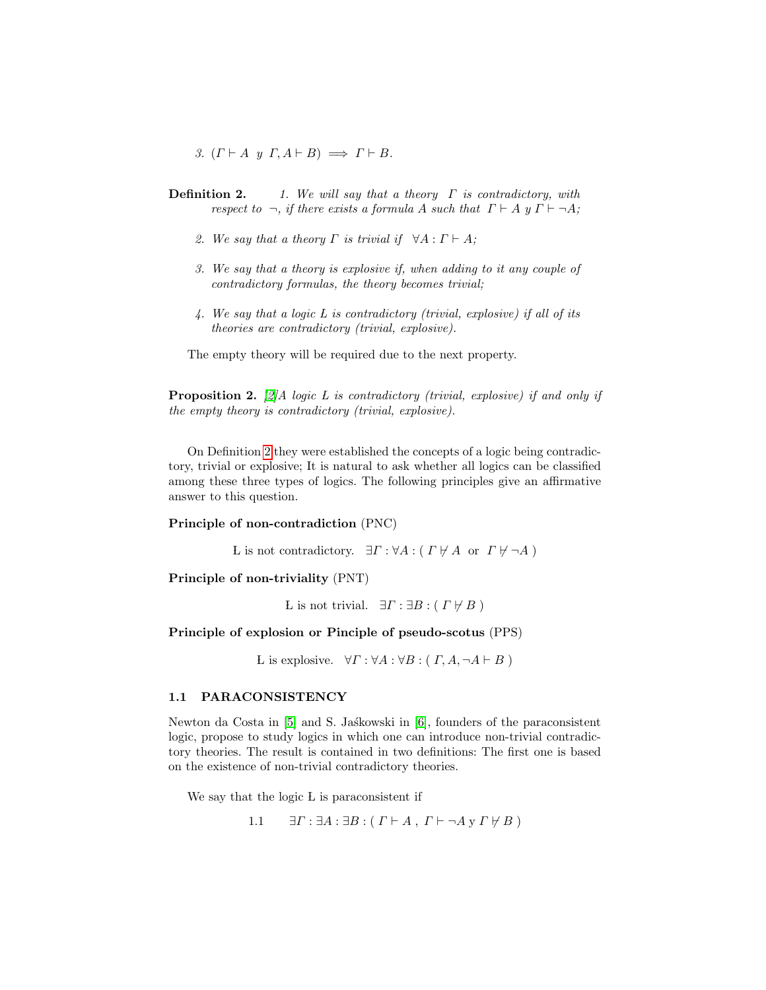3.  $(\Gamma \vdash A \ y \ \Gamma, A \vdash B) \implies \Gamma \vdash B$ .

- <span id="page-1-0"></span>**Definition 2.** 1. We will say that a theory  $\Gamma$  is contradictory, with respect to  $\neg$ , if there exists a formula A such that  $\Gamma \vdash A$  y  $\Gamma \vdash \neg A;$ 
	- 2. We say that a theory  $\Gamma$  is trivial if  $\forall A : \Gamma \vdash A;$
	- 3. We say that a theory is explosive if, when adding to it any couple of contradictory formulas, the theory becomes trivial;
	- 4. We say that a logic L is contradictory (trivial, explosive) if all of its theories are contradictory (trivial, explosive).

The empty theory will be required due to the next property.

**Proposition 2.** [\[2\]](#page-10-0)A logic L is contradictory (trivial, explosive) if and only if the empty theory is contradictory (trivial, explosive).

On Definition [2](#page-1-0) they were established the concepts of a logic being contradictory, trivial or explosive; It is natural to ask whether all logics can be classified among these three types of logics. The following principles give an affirmative answer to this question.

#### Principle of non-contradiction (PNC)

L is not contradictory.  $\exists \Gamma : \forall A : (\Gamma \not\vdash A \text{ or } \Gamma \not\vdash \neg A)$ 

Principle of non-triviality (PNT)

L is not trivial.  $\exists \Gamma : \exists B : (\Gamma \nvDash B)$ 

### Principle of explosion or Pinciple of pseudo-scotus (PPS)

L is explosive.  $\forall \Gamma : \forall A : \forall B : (\Gamma, A, \neg A \vdash B)$ 

#### 1.1 PARACONSISTENCY

Newton da Costa in [\[5\]](#page-10-1) and S. Jaskowski in [\[6\]](#page-10-2), founders of the paraconsistent logic, propose to study logics in which one can introduce non-trivial contradictory theories. The result is contained in two definitions: The first one is based on the existence of non-trivial contradictory theories.

We say that the logic L is paraconsistent if

1.1 
$$
\exists \Gamma : \exists A : \exists B : (\Gamma \vdash A, \Gamma \vdash \neg A \vee \Gamma \not\vdash B)
$$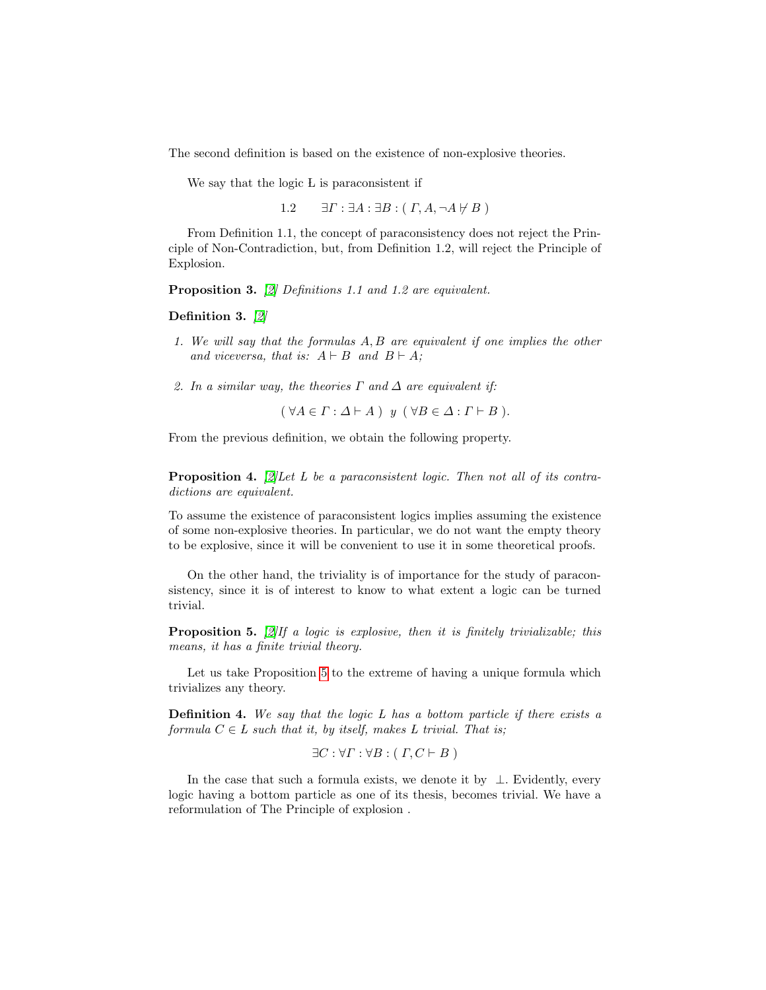The second definition is based on the existence of non-explosive theories.

We say that the logic L is paraconsistent if

1.2  $\exists \Gamma : \exists A : \exists B : (\Gamma, A, \neg A \not\vdash B)$ 

From Definition 1.1, the concept of paraconsistency does not reject the Principle of Non-Contradiction, but, from Definition 1.2, will reject the Principle of Explosion.

Proposition 3. [\[2\]](#page-10-0) Definitions 1.1 and 1.2 are equivalent.

Definition 3. [\[2\]](#page-10-0)

- 1. We will say that the formulas A, B are equivalent if one implies the other and viceversa, that is:  $A \vdash B$  and  $B \vdash A$ ;
- 2. In a similar way, the theories  $\Gamma$  and  $\Delta$  are equivalent if:

 $(\forall A \in \Gamma : \Delta \vdash A) \ y (\forall B \in \Delta : \Gamma \vdash B).$ 

From the previous definition, we obtain the following property.

**Proposition 4.** [\[2\]](#page-10-0) Let L be a paraconsistent logic. Then not all of its contradictions are equivalent.

To assume the existence of paraconsistent logics implies assuming the existence of some non-explosive theories. In particular, we do not want the empty theory to be explosive, since it will be convenient to use it in some theoretical proofs.

On the other hand, the triviality is of importance for the study of paraconsistency, since it is of interest to know to what extent a logic can be turned trivial.

<span id="page-2-0"></span>**Proposition 5.** [\[2\]](#page-10-0) If a logic is explosive, then it is finitely trivializable; this means, it has a finite trivial theory.

Let us take Proposition [5](#page-2-0) to the extreme of having a unique formula which trivializes any theory.

**Definition 4.** We say that the logic  $L$  has a bottom particle if there exists a formula  $C \in L$  such that it, by itself, makes L trivial. That is;

$$
\exists C : \forall \Gamma : \forall B : (\Gamma, C \vdash B)
$$

In the case that such a formula exists, we denote it by  $\bot$ . Evidently, every logic having a bottom particle as one of its thesis, becomes trivial. We have a reformulation of The Principle of explosion .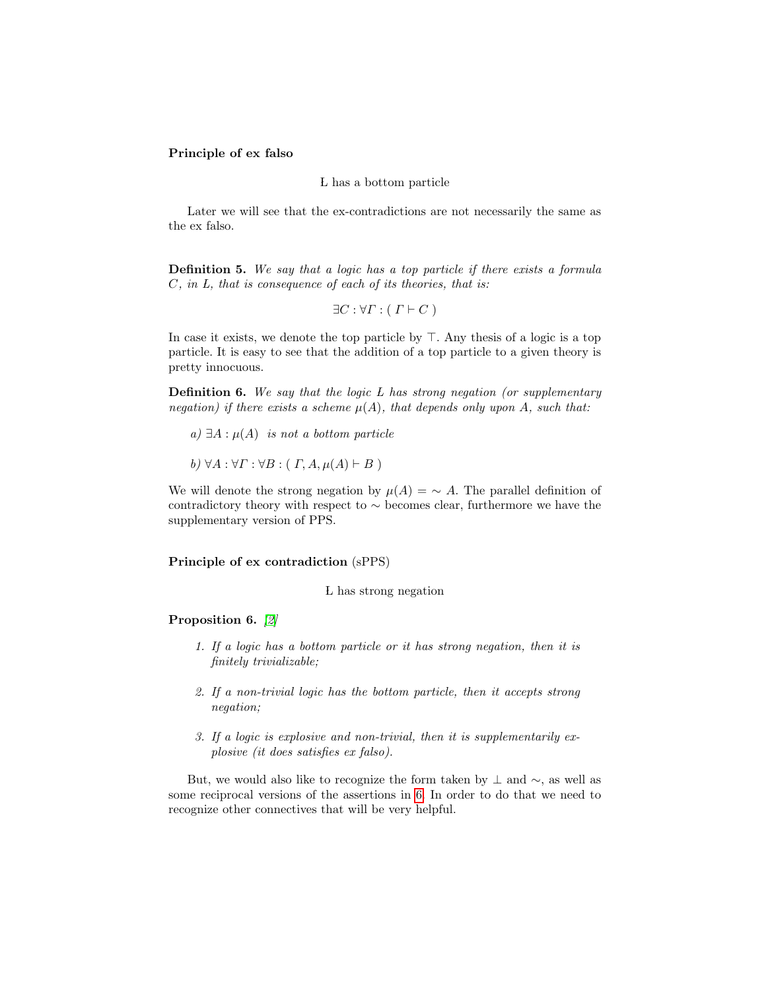#### Principle of ex falso

#### L has a bottom particle

Later we will see that the ex-contradictions are not necessarily the same as the ex falso.

Definition 5. We say that a logic has a top particle if there exists a formula C, in L, that is consequence of each of its theories, that is:

$$
\exists C : \forall \Gamma : (\Gamma \vdash C)
$$

In case it exists, we denote the top particle by  $\top$ . Any thesis of a logic is a top particle. It is easy to see that the addition of a top particle to a given theory is pretty innocuous.

**Definition 6.** We say that the logic  $L$  has strong negation (or supplementary negation) if there exists a scheme  $\mu(A)$ , that depends only upon A, such that:

- a)  $\exists A : \mu(A)$  is not a bottom particle
- b)  $\forall A : \forall \Gamma : \forall B : (\Gamma, A, \mu(A) \vdash B)$

We will denote the strong negation by  $\mu(A) = \sim A$ . The parallel definition of contradictory theory with respect to ∼ becomes clear, furthermore we have the supplementary version of PPS.

#### Principle of ex contradiction (sPPS)

L has strong negation

<span id="page-3-0"></span>Proposition 6. [\[2\]](#page-10-0)

- 1. If a logic has a bottom particle or it has strong negation, then it is finitely trivializable;
- 2. If a non-trivial logic has the bottom particle, then it accepts strong negation;
- 3. If a logic is explosive and non-trivial, then it is supplementarily explosive (it does satisfies ex falso).

But, we would also like to recognize the form taken by  $\perp$  and  $\sim$ , as well as some reciprocal versions of the assertions in [6.](#page-3-0) In order to do that we need to recognize other connectives that will be very helpful.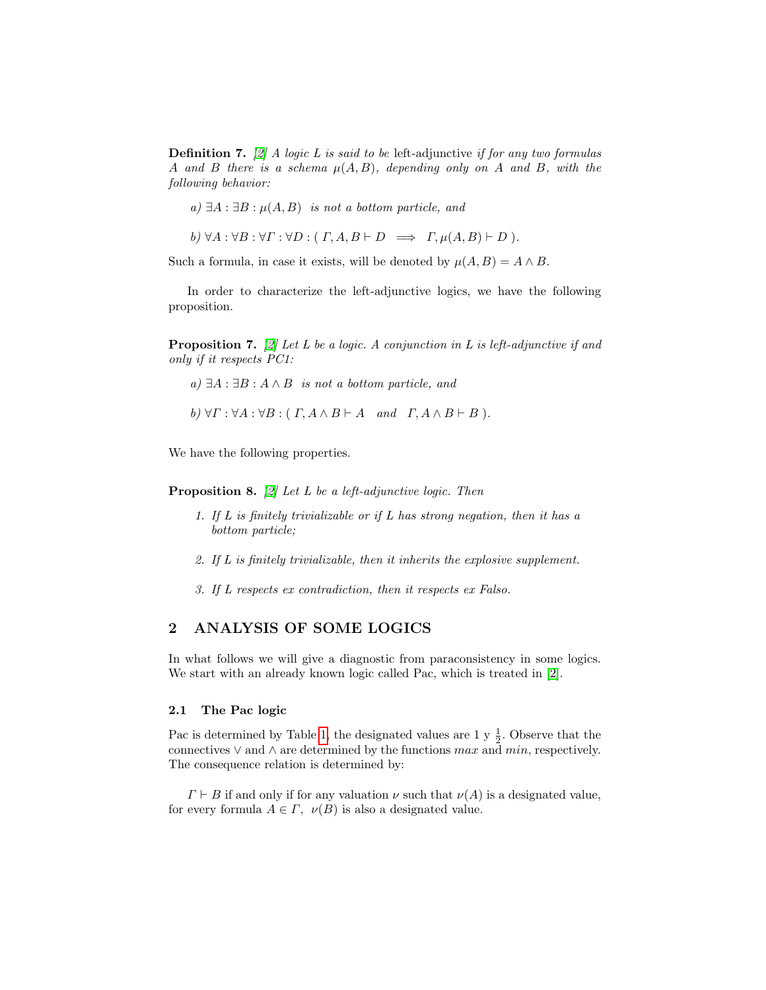**Definition 7.** [\[2\]](#page-10-0) A logic L is said to be left-adjunctive if for any two formulas A and B there is a schema  $\mu(A, B)$ , depending only on A and B, with the following behavior:

a)  $\exists A : \exists B : \mu(A, B)$  is not a bottom particle, and

b)  $\forall A : \forall B : \forall \Gamma : \forall D : (\Gamma, A, B \vdash D \implies \Gamma, \mu(A, B) \vdash D).$ 

Such a formula, in case it exists, will be denoted by  $\mu(A, B) = A \wedge B$ .

<span id="page-4-0"></span>In order to characterize the left-adjunctive logics, we have the following proposition.

**Proposition 7.** [\[2\]](#page-10-0) Let L be a logic. A conjunction in L is left-adjunctive if and only if it respects PC1:

a)  $∃A : ∃B : A ∧ B$  is not a bottom particle, and

b) 
$$
\forall \Gamma : \forall A : \forall B : (\Gamma, A \land B \vdash A \text{ and } \Gamma, A \land B \vdash B).
$$

<span id="page-4-1"></span>We have the following properties.

**Proposition 8.** [\[2\]](#page-10-0) Let L be a left-adjunctive logic. Then

- 1. If  $L$  is finitely trivializable or if  $L$  has strong negation, then it has a bottom particle;
- 2. If L is finitely trivializable, then it inherits the explosive supplement.
- 3. If L respects ex contradiction, then it respects ex Falso.

## 2 ANALYSIS OF SOME LOGICS

In what follows we will give a diagnostic from paraconsistency in some logics. We start with an already known logic called Pac, which is treated in [\[2\]](#page-10-0).

#### 2.1 The Pac logic

Pac is determined by Table [1,](#page-5-0) the designated values are 1 y  $\frac{1}{2}$ . Observe that the connectives  $\vee$  and  $\wedge$  are determined by the functions max and min, respectively. The consequence relation is determined by:

 $\Gamma \vdash B$  if and only if for any valuation  $\nu$  such that  $\nu(A)$  is a designated value, for every formula  $A \in \Gamma$ ,  $\nu(B)$  is also a designated value.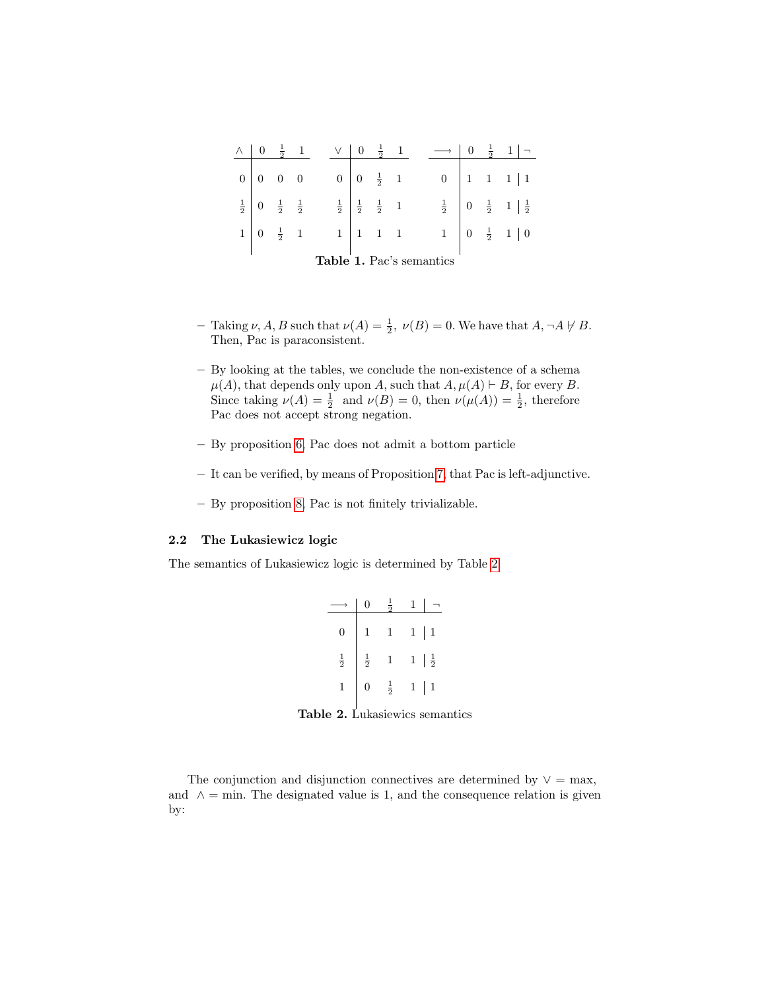<span id="page-5-0"></span>

| Λ                        |                                             | $rac{1}{2}$     |  |  |                |                                             | $\frac{1}{2}$ |  |  |   |                | $-\frac{1}{2}$ 1                              |
|--------------------------|---------------------------------------------|-----------------|--|--|----------------|---------------------------------------------|---------------|--|--|---|----------------|-----------------------------------------------|
| 0 <sup>1</sup>           |                                             | $0 \quad 0$     |  |  | $\overline{0}$ | $0 \frac{1}{2}$ 1                           |               |  |  |   |                | $0$   1   1   1                               |
|                          | $\frac{1}{2}$ 0 $\frac{1}{2}$ $\frac{1}{2}$ |                 |  |  |                | $\frac{1}{2}$ $\frac{1}{2}$ $\frac{1}{2}$ 1 |               |  |  |   |                | $\frac{1}{2}$ 0 $\frac{1}{2}$ 1 $\frac{1}{2}$ |
|                          |                                             | $\frac{1}{2}$ 1 |  |  |                | $\begin{vmatrix} 1 & 1 & 1 \end{vmatrix}$   |               |  |  | 1 | $\overline{0}$ | $\frac{1}{2}$ 1   0                           |
| Table 1. Pac's semantics |                                             |                 |  |  |                |                                             |               |  |  |   |                |                                               |

- Taking  $\nu$ , A, B such that  $\nu(A) = \frac{1}{2}$ ,  $\nu(B) = 0$ . We have that  $A, \neg A \not\vdash B$ . Then, Pac is paraconsistent.
- By looking at the tables, we conclude the non-existence of a schema  $\mu(A)$ , that depends only upon A, such that  $A, \mu(A) \vdash B$ , for every B. Since taking  $\nu(A) = \frac{1}{2}$  and  $\nu(B) = 0$ , then  $\nu(\mu(A)) = \frac{1}{2}$ , therefore Pac does not accept strong negation.
- By proposition [6,](#page-3-0) Pac does not admit a bottom particle
- It can be verified, by means of Proposition [7,](#page-4-0) that Pac is left-adjunctive.
- By proposition [8,](#page-4-1) Pac is not finitely trivializable.

#### 2.2 The Lukasiewicz logic

The semantics of Lukasiewicz logic is determined by Table [2.](#page-5-1)

|               |               | ㅎ             |              |               |
|---------------|---------------|---------------|--------------|---------------|
| 0             | 1             | 1             | $\mathbf{1}$ | $\,1$         |
| $\frac{1}{2}$ | $\frac{1}{2}$ | $\mathbf{1}$  | $\mathbf{1}$ | $\frac{1}{2}$ |
|               | 0             | $\frac{1}{2}$ | 1            | 1             |

<span id="page-5-1"></span>Table 2. Lukasiewics semantics

The conjunction and disjunction connectives are determined by  $\vee = \max$ , and  $\wedge$  = min. The designated value is 1, and the consequence relation is given by: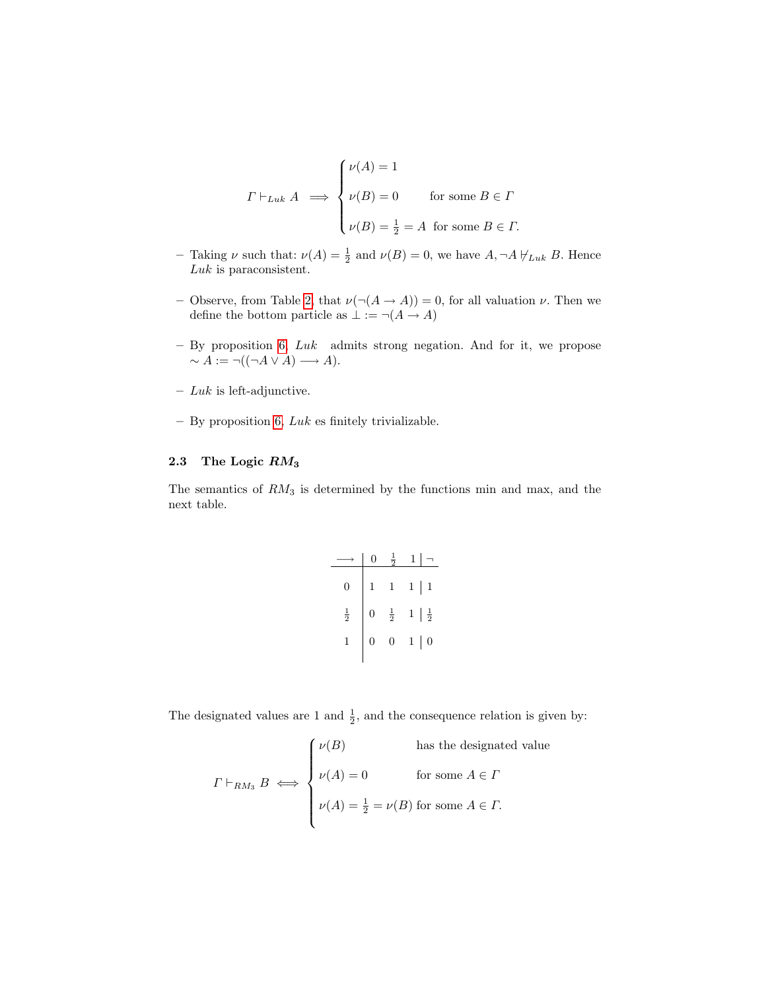$$
\Gamma \vdash_{Luk} A \implies \begin{cases} \nu(A) = 1 \\ \nu(B) = 0 & \text{for some } B \in \Gamma \\ \nu(B) = \frac{1}{2} = A & \text{for some } B \in \Gamma. \end{cases}
$$

- Taking  $\nu$  such that:  $\nu(A) = \frac{1}{2}$  and  $\nu(B) = 0$ , we have  $A, \neg A \not\vdash_{Luk} B$ . Hence Luk is paraconsistent.
- Observe, from Table [2,](#page-5-1) that  $\nu(\neg(A \rightarrow A)) = 0$ , for all valuation  $\nu$ . Then we define the bottom particle as  $\bot := \neg(A \rightarrow A)$
- $-$  By proposition [6,](#page-3-0)  $Luk$  admits strong negation. And for it, we propose  $\sim A := \neg((\neg A \lor A) \longrightarrow A).$
- $Luk$  is left-adjunctive.
- $-$  By proposition [6,](#page-3-0)  $Luk$  es finitely trivializable.

## 2.3 The Logic RM<sup>3</sup>

The semantics of  $RM_3$  is determined by the functions min and max, and the next table.

|               |                | ត             |                                 |
|---------------|----------------|---------------|---------------------------------|
| 0             | $\mathbf{1}$   | 1             | $\mathbf{1}$<br>$\mathbf{1}$    |
| $\frac{1}{2}$ | $\overline{0}$ | $\frac{1}{2}$ | $\frac{1}{2}$<br>$\,1$          |
|               | 0              | 0             | $\mathbf 1$<br>$\boldsymbol{0}$ |
|               |                |               |                                 |

The designated values are 1 and  $\frac{1}{2}$ , and the consequence relation is given by:

$$
\Gamma \vdash_{RM_3} B \iff \begin{cases} \nu(B) & \text{has the designated value} \\ \nu(A) = 0 & \text{for some } A \in \Gamma \\ \nu(A) = \frac{1}{2} = \nu(B) \text{ for some } A \in \Gamma. \end{cases}
$$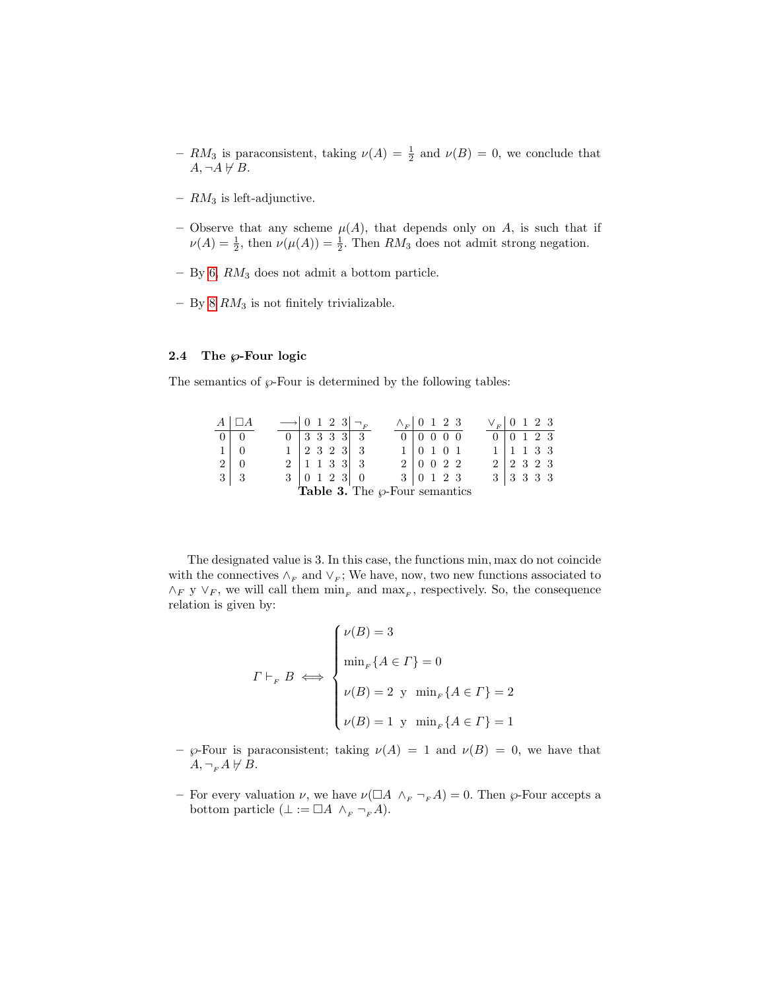- $RM_3$  is paraconsistent, taking  $\nu(A) = \frac{1}{2}$  and  $\nu(B) = 0$ , we conclude that  $A, \neg A \not\vdash B.$
- $RM_3$  is left-adjunctive.
- Observe that any scheme  $\mu(A)$ , that depends only on A, is such that if  $\nu(A) = \frac{1}{2}$ , then  $\nu(\mu(A)) = \frac{1}{2}$ . Then  $RM_3$  does not admit strong negation.
- $-$  By [6,](#page-3-0)  $RM_3$  does not admit a bottom particle.
- By [8](#page-4-1)  $RM_3$  is not finitely trivializable.

#### 2.4 The  $\wp$ -Four logic

The semantics of  $\wp$ -Four is determined by the following tables:

| $A \mid \Box A$                           |  |  |  | $\rightarrow$ 0 1 2 3 $\neg F$   |                                  |                           |  |  | $\wedge_F$ 0 1 2 3              | $V_F$ 0 1 2 3       |                                 |  |  |
|-------------------------------------------|--|--|--|----------------------------------|----------------------------------|---------------------------|--|--|---------------------------------|---------------------|---------------------------------|--|--|
| $0 \mid 0$                                |  |  |  | $0 \mid 3 \mid 3 \mid 3 \mid 3$  |                                  |                           |  |  | $0 \mid 0 \mid 0 \mid 0 \mid 0$ | $0 \ 0 \ 1 \ 2 \ 3$ |                                 |  |  |
| $1 \vert 0$                               |  |  |  | $1 \ 2 \ 3 \ 2 \ 3 \ 3$          |                                  |                           |  |  | 1   0 1 0 1                     |                     | $1 \mid 1 \; 1 \; 3 \; 3$       |  |  |
| $2 \mid 0$                                |  |  |  | $2 \mid 1 \; 1 \; 3 \; 3 \mid 3$ |                                  |                           |  |  | 2 0 0 2 2                       |                     | $2 \mid 2 \mid 3 \mid 2 \mid 3$ |  |  |
| $3 \mid 3$                                |  |  |  |                                  | $3 \mid 0 \; 1 \; 2 \; 3 \mid 0$ | $3 \mid 0 \; 1 \; 2 \; 3$ |  |  |                                 |                     | $3 \mid 3 \mid 3 \mid 3 \mid 3$ |  |  |
| <b>Table 3.</b> The $\wp$ -Four semantics |  |  |  |                                  |                                  |                           |  |  |                                 |                     |                                 |  |  |

The designated value is 3. In this case, the functions min, max do not coincide with the connectives  $\wedge_F$  and  $\vee_F$ ; We have, now, two new functions associated to  $\wedge_F$  y  $\vee_F$ , we will call them  $\min_F$  and  $\max_F$ , respectively. So, the consequence relation is given by:

$$
\Gamma \vdash_F B \iff \begin{cases} \nu(B) = 3 \\ \min_F \{A \in \Gamma\} = 0 \\ \nu(B) = 2 \text{ y } \min_F \{A \in \Gamma\} = 2 \\ \nu(B) = 1 \text{ y } \min_F \{A \in \Gamma\} = 1 \end{cases}
$$

- $\wp$ -Four is paraconsistent; taking  $\nu(A) = 1$  and  $\nu(B) = 0$ , we have that  $A, \lnot_{F} A \not\vdash B.$
- For every valuation  $\nu$ , we have  $\nu(\Box A \wedge_F \neg_F A) = 0$ . Then  $\wp$ -Four accepts a bottom particle ( $\bot := \Box A \wedge_F \neg_F A$ ).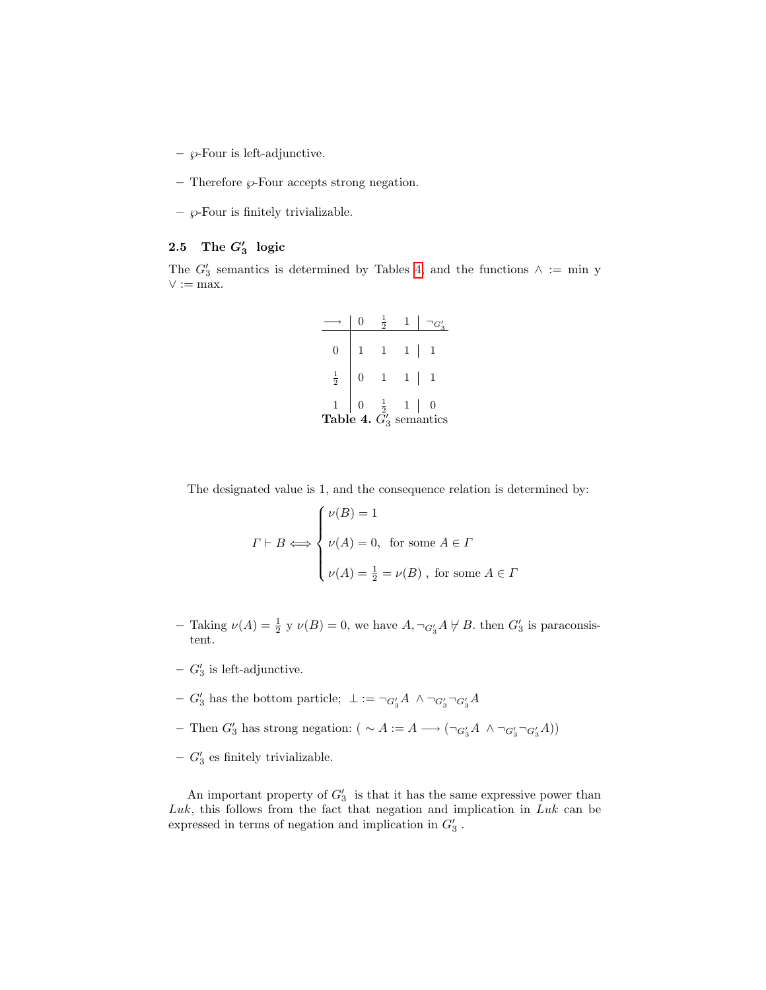- $\wp$ -Four is left-adjunctive.
- $-$  Therefore  $\wp$ -Four accepts strong negation.
- $\wp$ -Four is finitely trivializable.

## 2.5 The  $G'_3$  logic

The  $G_3'$  semantics is determined by Tables [4,](#page-8-0) and the functions  $\wedge := \min y$  $\vee := \max.$ 

<span id="page-8-0"></span>

| 0                                                                                                           |                | $\mathbf{1}$ | $1\vert$ |  |
|-------------------------------------------------------------------------------------------------------------|----------------|--------------|----------|--|
| $\frac{1}{2}$                                                                                               | $\overline{0}$ | $\mathbf{1}$ | $1\vert$ |  |
| $\begin{array}{c c c} 1 & 0 & \frac{1}{2} & 1 & 0 \\ \textbf{Table 4. } G_3' \text{ semantics} \end{array}$ |                |              |          |  |

The designated value is 1, and the consequence relation is determined by:

$$
\Gamma \vdash B \Longleftrightarrow \begin{cases} \nu(B) = 1 \\ \nu(A) = 0, \text{ for some } A \in \Gamma \\ \nu(A) = \frac{1}{2} = \nu(B), \text{ for some } A \in \Gamma \end{cases}
$$

- Taking  $\nu(A) = \frac{1}{2}$  y  $\nu(B) = 0$ , we have  $A, \neg_{G_3'}A \not\vdash B$ . then  $G_3'$  is paraconsistent.
- $G_3$  is left-adjunctive.
- $-$  G'<sub>3</sub> has the bottom particle;  $\bot := \neg_{G_3'}A \land \neg_{G_3'}\neg_{G_3'}A$
- Then  $G'_3$  has strong negation:  $( \sim A := A \longrightarrow (\neg_{G'_3} A \land \neg_{G'_3} \neg_{G'_3} A) )$
- $G'_{3}$  es finitely trivializable.

An important property of  $G_3'$  is that it has the same expressive power than  $Luk$ , this follows from the fact that negation and implication in  $Luk$  can be expressed in terms of negation and implication in  $G_3'$ .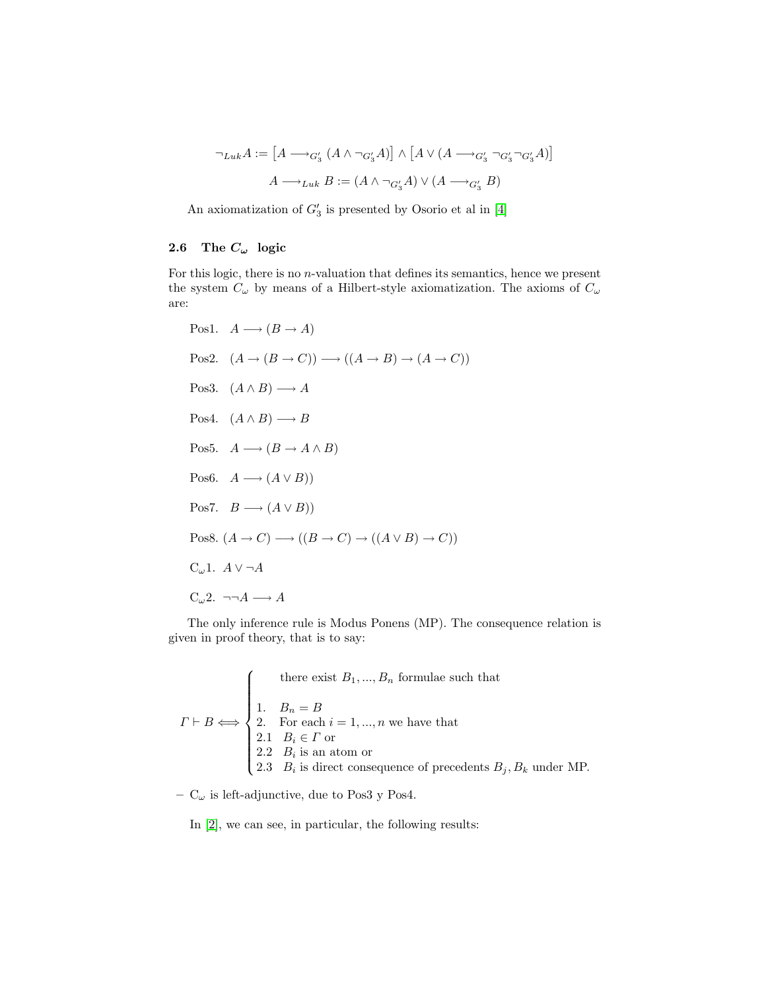$$
\neg_{Luk}A := [A \longrightarrow_{G'_3} (A \land \neg_{G'_3} A)] \land [A \lor (A \longrightarrow_{G'_3} \neg_{G'_3} \neg_{G'_3} A)]
$$

$$
A \longrightarrow_{Luk} B := (A \land \neg_{G'_3} A) \lor (A \longrightarrow_{G'_3} B)
$$

An axiomatization of  $G_3'$  is presented by Osorio et al in [\[4\]](#page-10-3)

## 2.6 The  $C_{\omega}$  logic

For this logic, there is no n-valuation that defines its semantics, hence we present the system  $C_{\omega}$  by means of a Hilbert-style axiomatization. The axioms of  $C_{\omega}$ are:

```
Pos1. A \longrightarrow (B \rightarrow A)Pos2. (A \rightarrow (B \rightarrow C)) \rightarrow ((A \rightarrow B) \rightarrow (A \rightarrow C))Pos3. (A \wedge B) \longrightarrow APos4. (A \wedge B) \longrightarrow BPos5. A \longrightarrow (B \rightarrow A \land B)Pos6. A \longrightarrow (A \lor B)Pos7. B \longrightarrow (A \lor B)Pos8. (A \to C) \longrightarrow ((B \to C) \to ((A \lor B) \to C))C<sub>ω</sub>1. A \vee \neg AC_{\omega}2. \neg\neg A \longrightarrow A
```
The only inference rule is Modus Ponens (MP). The consequence relation is given in proof theory, that is to say:

$$
\Gamma \vdash B \Longleftrightarrow \begin{cases}\n\text{there exist } B_1, \dots, B_n \text{ formulae such that} \\
1. \quad B_n = B \\
2. \quad \text{For each } i = 1, \dots, n \text{ we have that} \\
2.1 \quad B_i \in \Gamma \text{ or} \\
2.2 \quad B_i \text{ is an atom or} \\
2.3 \quad B_i \text{ is direct consequence of precedents } B_j, B_k \text{ under MP.}\n\end{cases}
$$

–  $C_{\omega}$  is left-adjunctive, due to Pos3 y Pos4.

In [\[2\]](#page-10-0), we can see, in particular, the following results: